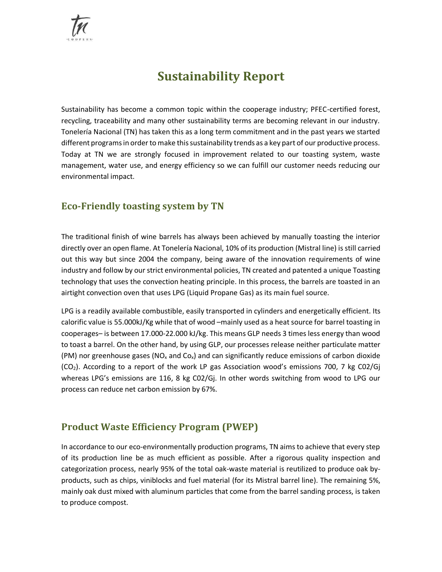

# **Sustainability Report**

Sustainability has become a common topic within the cooperage industry; PFEC-certified forest, recycling, traceability and many other sustainability terms are becoming relevant in our industry. Tonelería Nacional (TN) has taken this as a long term commitment and in the past years we started different programs in order to make this sustainability trends as a key part of our productive process. Today at TN we are strongly focused in improvement related to our toasting system, waste management, water use, and energy efficiency so we can fulfill our customer needs reducing our environmental impact.

## **Eco-Friendly toasting system by TN**

The traditional finish of wine barrels has always been achieved by manually toasting the interior directly over an open flame. At Tonelería Nacional, 10% of its production (Mistral line) is still carried out this way but since 2004 the company, being aware of the innovation requirements of wine industry and follow by our strict environmental policies, TN created and patented a unique Toasting technology that uses the convection heating principle. In this process, the barrels are toasted in an airtight convection oven that uses LPG (Liquid Propane Gas) as its main fuel source.

LPG is a readily available combustible, easily transported in cylinders and energetically efficient. Its calorific value is 55.000kJ/Kg while that of wood –mainly used as a heat source for barrel toasting in cooperages– is between 17.000-22.000 kJ/kg. This means GLP needs 3 times less energy than wood to toast a barrel. On the other hand, by using GLP, our processes release neither particulate matter (PM) nor greenhouse gases ( $NO<sub>x</sub>$  and  $Co<sub>x</sub>$ ) and can significantly reduce emissions of carbon dioxide (CO2). According to a report of the work LP gas Association wood's emissions 700, 7 kg C02/Gj whereas LPG's emissions are 116, 8 kg C02/Gj. In other words switching from wood to LPG our process can reduce net carbon emission by 67%.

## **Product Waste Efficiency Program (PWEP)**

In accordance to our eco-environmentally production programs, TN aims to achieve that every step of its production line be as much efficient as possible. After a rigorous quality inspection and categorization process, nearly 95% of the total oak-waste material is reutilized to produce oak byproducts, such as chips, viniblocks and fuel material (for its Mistral barrel line). The remaining 5%, mainly oak dust mixed with aluminum particles that come from the barrel sanding process, is taken to produce compost.